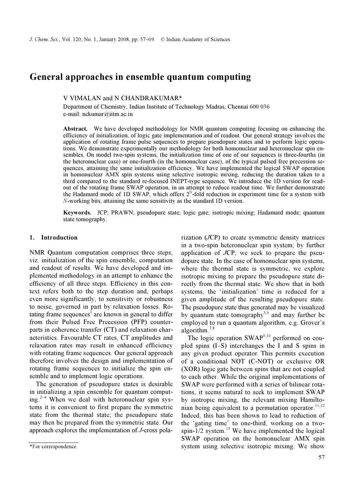# General approaches in ensemble quantum computing

## V VIMALAN and N CHANDRAKUMAR\*

Department of Chemistry, Indian Institute of Technology Madras, Chennai 600 036 e-mail: nckumar@iitm.ac.in

Abstract. We have developed methodology for NMR quantum computing focusing on enhancing the efficiency of initialization, of logic gate implementation and of readout. Our general strategy involves the application of rotating frame pulse sequences to prepare pseudopure states and to perform logic operations. We demonstrate experimentally our methodology for both homonuclear and heteronuclear spin ensembles. On model two-spin systems, the initialization time of one of our sequences is three-fourths (in the heteronuclear case) or one-fourth (in the homonuclear case), of the typical pulsed free precession sequences, attaining the same initialization efficiency. We have implemented the logical SWAP operation in homonuclear AMX spin systems using selective isotropic mixing, reducing the duration taken to a third compared to the standard re-focused INEPT-type sequence. We introduce the 1D version for readout of the rotating frame SWAP operation, in an attempt to reduce readout time. We further demonstrate the Hadamard mode of 1D SWAP, which offers  $2^N$ -fold reduction in experiment time for a system with N-working bits, attaining the same sensitivity as the standard 1D version.

Keywords. JCP; PRAWN; pseudopure state; logic gate; isotropic mixing; Hadamard mode; quantum state tomography.

# 1. Introduction

NMR Quantum computation comprises three steps, viz. initialization of the spin ensemble, computation and readout of results. We have developed and implemented methodology in an attempt to enhance the efficiency of all three steps. Efficiency in this context refers both to the step duration and, perhaps even more significantly, to sensitivity or robustness to noise, governed in part by relaxation losses. Rotating frame sequences<sup>1</sup> are known in general to differ from their Pulsed Free Precession (PFP) counterparts in coherence transfer (CT) and relaxation characteristics. Favourable CT rates, CT amplitudes and relaxation rates may result in enhanced efficiency with rotating frame sequences. Our general approach therefore involves the design and implementation of rotating frame sequences to initialize the spin ensemble and to implement logic operations.

 The generation of pseudopure states is desirable in initializing a spin ensemble for quantum computing.<sup>2–4</sup> When we deal with heteronuclear spin systems it is convenient to first prepare the symmetric state from the thermal state; the pseudopure state may then be prepared from the symmetric state. Our approach explores the implementation of J-cross polarization (JCP) to create symmetric density matrices in a two-spin heteronuclear spin system; by further application of JCP, we seek to prepare the pseudopure state. In the case of homonuclear spin systems, where the thermal state is symmetric, we explore isotropic mixing to prepare the pseudopure state directly from the thermal state. We show that in both systems, the 'initialization' time is reduced for a given amplitude of the resulting pseudopure state. The pseudopure state thus generated may be visualized by quantum state tomography<sup>5,6</sup> and may further be employed to run a quantum algorithm, e.g. Grover's algorithm.7,8

The logic operation SWAP<sup>9,10</sup> performed on coupled spins (I–S) interchanges the I and S spins in any given product operator. This permits execution of a conditional NOT (C-NOT) or exclusive OR (XOR) logic gate between spins that are not coupled to each other. While the original implementations of SWAP were performed with a series of bilinear rotations, it seems natural to seek to implement SWAP by isotropic mixing, the relevant mixing Hamiltonian being equivalent to a permutation operator.<sup>11,12</sup> Indeed, this has been shown to lead to reduction of the 'gating time' to one-third, working on a twospin- $1/2$  system.<sup>13</sup> We have implemented the logical SWAP operation on the homonuclear AMX spin system using selective isotropic mixing. We show

<sup>\*</sup>For correspondence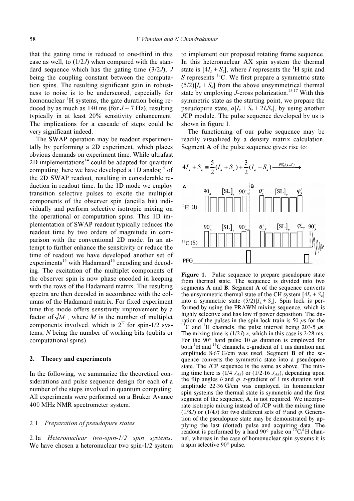that the gating time is reduced to one-third in this case as well, to  $(1/2J)$  when compared with the standard sequence which has the gating time  $(3/2J)$ , J being the coupling constant between the computation spins. The resulting significant gain in robustness to noise is to be underscored, especially for homonuclear  ${}^{1}H$  systems, the gate duration being reduced by as much as 140 ms (for  $J \sim 7$  Hz), resulting typically in at least 20% sensitivity enhancement. The implications for a cascade of steps could be very significant indeed.

 The SWAP operation may be readout experimentally by performing a 2D experiment, which places obvious demands on experiment time. While ultrafast 2D implementations<sup>14</sup> could be adapted for quantum computing, here we have developed a 1D analog<sup>15</sup> of the 2D SWAP readout, resulting in considerable reduction in readout time. In the 1D mode we employ transition selective pulses to excite the multiplet components of the observer spin (ancilla bit) individually and perform selective isotropic mixing on the operational or computation spins. This 1D implementation of SWAP readout typically reduces the readout time by two orders of magnitude in comparison with the conventional 2D mode. In an attempt to further enhance the sensitivity or reduce the time of readout we have developed another set of experiments<sup>15</sup> with Hadamard<sup>16</sup> encoding and decoding. The excitation of the multiplet components of the observer spin is now phase encoded in keeping with the rows of the Hadamard matrix. The resulting spectra are then decoded in accordance with the columns of the Hadamard matrix. For fixed experiment time this mode offers sensitivity improvement by a factor of  $\sqrt{M}$ , where M is the number of multiplet components involved, which is  $2^N$  for spin-1/2 systems, N being the number of working bits (qubits or computational spins).

#### 2. Theory and experiments

In the following, we summarize the theoretical considerations and pulse sequence design for each of a number of the steps involved in quantum computing. All experiments were performed on a Bruker Avance 400 MHz NMR spectrometer system.

## 2.1 Preparation of pseudopure states

2.1a Heteronuclear two-spin-1/2 spin systems: We have chosen a heteronuclear two spin-1/2 system to implement our proposed rotating frame sequence. In this heteronuclear AX spin system the thermal state is  $[4I_z + S_z]$ , where *I* represents the <sup>1</sup>H spin and S represents  $^{13}$ C. We first prepare a symmetric state  $(5/2)[I_z + S_z]$  from the above unsymmetrical thermal state by employing  $J$ -cross polarization.<sup>15,17</sup> With this symmetric state as the starting point, we prepare the pseudopure state,  $a[I_z + S_z + 2I_zS_z]$ , by using another JCP module. The pulse sequence developed by us is shown in figure 1.

 The functioning of our pulse sequence may be readily visualized by a density matrix calculation. Segment A of the pulse sequence gives rise to:



Figure 1. Pulse sequence to prepare pseudopure state from thermal state. The sequence is divided into two segments A and B. Segment A of the sequence converts the unsymmetric thermal state of the CH system  $[4I<sub>z</sub> + S<sub>z</sub>]$ into a symmetric state  $(5/2)[I_z + S_z]$ . Spin lock is performed by using the PRAWN mixing sequence, which is highly selective and has low rf power deposition. The duration of the pulses in the spin lock train is 50  $\mu$ s for the <sup>13</sup>C and <sup>1</sup>H channels, the pulse interval being 203⋅5  $\mu$ s. The mixing time is  $(1/2J)$  s, which in this case is 2⋅28 ms. For the 90 $\degree$  hard pulse 10  $\mu$ s duration is employed for both  ${}^{1}$ H and  ${}^{13}$ C channels. z-gradient of 1 ms duration and amplitude 8⋅67 G/cm was used. Segment B of the sequence converts the symmetric state into a pseudopure state. The JCP sequence is the same as above. The mixing time here is  $(1/4 J_{AX})$  or  $(1/2.16 J_{AX})$ , depending upon the flip angles  $\theta$  and  $\varphi$ . z-gradient of 1 ms duration with amplitude 22⋅36 G/cm was employed. In homonuclear spin systems the thermal state is symmetric and the first segment of the sequence, A, is not required. We incorporate isotropic mixing instead of JCP with the mixing time (1/8J) or (1/4J) for two different sets of  $\theta$  and  $\varphi$ . Generation of the pseudopure state may be demonstrated by applying the last (dotted) pulse and acquiring data. The prying the rast (dotted) pulse and acquiring data. The readout is performed by a hard  $90^{\circ}$  pulse on  $13 \text{C}/^1\text{H}$  channel, whereas in the case of homonuclear spin systems it is a spin selective 90° pulse.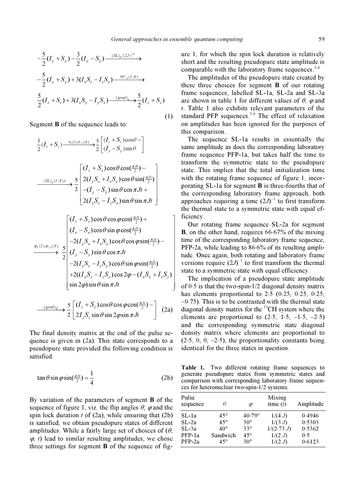$\overline{\phantom{a}}$  $\overline{\phantom{a}}$  $\overline{\phantom{a}}$  $\overline{\phantom{a}}$  $\overline{\phantom{a}}$ 

$$
\text{General approaches in en}
$$
\n
$$
-\frac{5}{2}(I_y + S_y) - \frac{3}{2}(I_y - S_y) \xrightarrow{(SL)_y,(2J)^{-1}} \rightarrow
$$
\n
$$
-\frac{5}{2}(I_y + S_y) + 3(I_xS_z - I_zS_x) \xrightarrow{90^{\circ}_{-x}(I,S)} \rightarrow
$$
\n
$$
\frac{5}{2}(I_z + S_z) + 3(I_xS_y - I_yS_x) \xrightarrow{(grad)_z} \frac{5}{2}(I_z + S_z)
$$
\n(1)

Segment B of the sequence leads to:

$$
\frac{5}{2}(I_z + S_z) \xrightarrow{\theta_x(I), \theta_{-x}(S)} \frac{5}{2} \left[ \frac{(I_z + S_z)\cos\theta - I}{(I_y - S_y)\sin\theta} \right]
$$
\n
$$
\xrightarrow{(SL)_y(I,S),t} \frac{5}{2} \left[ \frac{2(I_yS_x + I_xS_y)\cos\theta\sin(\frac{\pi Jt}{2}) - I}{-(I_y - S_y)\sin\theta\cos\pi Jt + I} \right]
$$
\n
$$
\frac{2(I_xS_z - I_zS_x)\sin\theta\sin\pi Jt}{2(I_xS_z - I_zS_x)\sin\theta\sin\pi Jt}
$$
\n
$$
\xrightarrow{\left[\frac{(I_z + S_z)\cos\theta\cos\phi\cos(\frac{\pi Jt}{2}) + I_xS_y\cos\theta\sin\phi\cos(\frac{\pi Jt}{2}) - I_xS_x\cos\theta\sin\phi\cos(\frac{\pi Jt}{2}) - I_xS_y\cos\theta\cos\pi Jt} \right]}
$$
\n
$$
\xrightarrow{-2(I_yS_x + I_xS_y)\cos\theta\sin\phi\sin(\frac{\pi Jt}{2}) - I_x(S_y - I_zS_y)\cos\theta\sin\phi\sin(\frac{\pi Jt}{2})}
$$
\n
$$
+2((I_xS_z - I_zS_y)\cos 2\phi - (I_xS_x + I_zS_z)]
$$

$$
\xrightarrow{\text{(grad)}_z} \frac{5}{2} \left[ \xrightarrow{\left(I_z + S_z\right)} \cos \theta \cos \varphi \cos \left(\frac{\pi J t}{2}\right) - \right] \quad (2a)
$$

 $x^{\prime\prime}$ z  $x^{\prime\prime}$ z $y^{\prime}$   $\cos 2\varphi$   $(x_x^{\prime\prime}x + x_z^{\prime\prime}z)$ 

Jt

 $\left[ \sin 2\varphi \right) \sin \theta \sin \pi J t$ 

 $\sin 2\varphi$ ) sin  $\theta$  sin

ω) sin θ sin π

The final density matrix at the end of the pulse sequence is given in (2a). This state corresponds to a pseudopure state provided the following condition is satisfied:

$$
\tan \theta \sin \varphi \sin(\frac{\pi J t}{2}) = \frac{1}{4}
$$
 (2b)

By variation of the parameters of segment B of the sequence of figure 1, viz. the flip angles  $\theta$ ,  $\varphi$  and the spin lock duration  $t$  of (2a), while ensuring that (2b) is satisfied, we obtain pseudopure states of different amplitudes. While a fairly large set of choices of  $(\theta, \theta)$  $\varphi$ , t) lead to similar resulting amplitudes, we chose three settings for segment B of the sequence of figure 1, for which the spin lock duration is relatively short and the resulting pseudopure state amplitude is comparable with the laboratory frame sequences.  $3,4$ 

 The amplitudes of the pseudopure state created by these three choices for segment B of our rotating frame sequences, labelled SL-1a, SL-2a and SL-3a are shown in table 1 for different values of  $\theta$ ,  $\varphi$  and t. Table 1 also exhibits relevant parameters of the standard PFP sequences. $3,4$  The effect of relaxation on amplitudes has been ignored for the purposes of this comparison.

 The sequence SL-1a results in essentially the same amplitude as does the corresponding laboratory frame sequence PFP-1a, but takes half the time to transform the symmetric state to the pseudopure state. This implies that the total initialization time with the rotating frame sequence of figure 1, incorporating SL-1a for segment B is three-fourths that of the corresponding laboratory frame approach, both approaches requiring a time  $(2J)^{-1}$  to first transform the thermal state to a symmetric state with equal efficiency.

 Our rotating frame sequence SL-2a for segment <sup>B</sup>, on the other hand, requires 66⋅67% of the mixing time of the corresponding laboratory frame sequence, PFP-2a, while leading to 86⋅6% of its resulting amplitude. Once again, both rotating and laboratory frame versions require  $(2J)^{-1}$  to first transform the thermal state to a symmetric state with equal efficiency.

 The implication of a pseudopure state amplitude state to a symmetric state with equal erriciency.<br>The implication of a pseudopure state amplitude<br>of 0⋅5 is that the two-spin-1/2 diagonal density matrix The implication of a pseudopure state amplitude<br>of  $0.5$  is that the two-spin-1/2 diagonal density matrix<br>has elements proportional to  $2.5$  ( $0.25$ ,  $0.25$ ,  $0.25$ , has elements proportional to  $2.5$  (0 $\cdot$ 25, 0 $\cdot$ 25, 0 $\cdot$ 25, -0 $\cdot$ 75). This is to be contrasted with the thermal state  $-0.75$ ). This is to be contrasted with the thermal state diagonal density matrix for the <sup>13</sup>CH system where the elements are proportional to  $(2.5, 1.5, -1.5, -2.5)$ and the corresponding symmetric state diagonal density matrix where elements are proportional to and the corresponding symmetric state diagonal<br>density matrix where elements are proportional to<br> $(2.5, 0, 0, -2.5)$ , the proportionality constants being identical for the three states in question.

Table 1. Two different rotating frame sequences to generate pseudopure states from symmetric states and comparison with corresponding laboratory frame sequences for heteronuclear two-spin-1/2 systems.

| Pulse<br>sequence | θ            | Φ               | Mixing<br>time $(t)$ | Amplitude |
|-------------------|--------------|-----------------|----------------------|-----------|
| SL-1a             | $45^{\circ}$ | $40.79^{\circ}$ | 1/(4 J)              | 0.4946    |
| SL-2a             | $45^\circ$   | $30^\circ$      | 1/(3 J)              | 0.5303    |
| SL-3a             | $40^\circ$   | $33^\circ$      | 1/(2.73 J)           | 0.5362    |
| PFP-1a            | Sandwich     | $45^{\circ}$    | 1/(2 J)              | 0.5       |
| PFP-2a            | $45^{\circ}$ | $30^\circ$      | 1/(2 J)              | 0.6123    |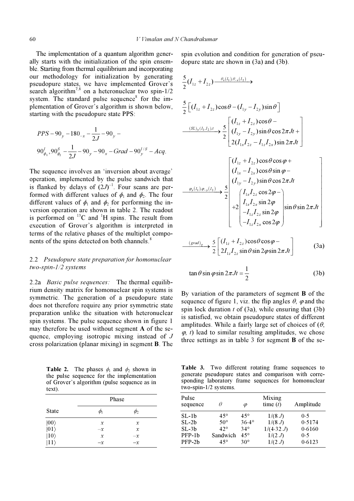The implementation of a quantum algorithm generally starts with the initialization of the spin ensemble. Starting from thermal equilibrium and incorporating our methodology for initialization by generating pseudopure states, we have implemented Grover's search algorithm<sup>7,8</sup> on a heteronuclear two spin-1/2 system. The standard pulse sequence<sup>8</sup> for the im-<br>plementation of Grover's algorithm is shown below,<br>starting with the pseudopure state PPS:<br> $PDS = 28 - 128$ plementation of Grover's algorithm is shown below, starting with the pseudopure state PPS: Fraction Seudopure stat<br>
Figure stat<br>
Figure  $-\frac{1}{2} - 90$ 

arting with the pseudopure state PPS:  
\n
$$
PPS - 90_y - 180_{-x} - \frac{1}{2J} - 90_y - 90_y - 90_y
$$
\n
$$
90_{\phi_1}^I, 90_{\phi_2}^S - \frac{1}{2J} - 90_y - 90_x - Grad - 90_y^{I/S} - Acq.
$$

The sequence involves an 'inversion about average' operation, implemented by the pulse sandwich that is flanked by delays of  $(2J)^{-1}$ . Four scans are performed with different values of  $\phi_1$  and  $\phi_2$ . The four different values of  $\phi_1$  and  $\phi_2$  for performing the inversion operation are shown in table 2. The readout is performed on  $^{13}$ C and <sup>1</sup>H spins. The result from execution of Grover's algorithm is interpreted in terms of the relative phases of the multiplet components of the spins detected on both channels.<sup>8</sup>

## 2.2 Pseudopure state preparation for homonuclear two-spin-1/2 systems

2.2a Basic pulse sequences: The thermal equilibrium density matrix for homonuclear spin systems is symmetric. The generation of a pseudopure state does not therefore require any prior symmetric state preparation unlike the situation with heteronuclear spin systems. The pulse sequence shown in figure 1 may therefore be used without segment A of the sequence, employing isotropic mixing instead of J cross polarization (planar mixing) in segment B. The

**Table 2.** The phases  $\phi_1$  and  $\phi_2$  shown in the pulse sequence for the implementation of Grover's algorithm (pulse sequence as in text).

|                                                        | Phase         |                |  |
|--------------------------------------------------------|---------------|----------------|--|
| <b>State</b>                                           | ψ             | $\varphi_2$    |  |
| $\begin{array}{c}  00\rangle\\  01\rangle \end{array}$ | $\mathcal{X}$ | x              |  |
|                                                        | $-x$          | $\mathfrak{X}$ |  |
| $ 10\rangle$                                           | $\mathcal{X}$ | $-x$           |  |
| $ 11\rangle$                                           | $-x$          | $-x$           |  |

spin evolution and condition for generation of pseudopure state are shown in (3a) and (3b). in evolution and condition<br>bure state are shown in<br> $I_{1z} + I_{2z}$   $\longrightarrow$ 

$$
\frac{5}{2}(I_{1z} + I_{2z}) \xrightarrow{\theta_x(I_1), \theta_x(I_2)}
$$
\n
$$
\frac{5}{2}\left[(I_{1z} + I_{2z})\cos\theta - (I_{1y} - I_{2y})\sin\theta\right]
$$
\n
$$
\xrightarrow{(\mathcal{SL})_y(I_1,I_2),t} \frac{5}{2}\left[(I_{1z} + I_{2z})\cos\theta - (I_{1y} - I_{2y})\sin\theta\cos 2\pi Jt + 2(I_{1x}I_{2z} - I_{1z}I_{2x})\sin 2\pi Jt\right]
$$
\n
$$
\frac{[(I_{1z} + I_{2z})\cos\theta\cos\varphi + (I_{1x} - I_{2x})\cos\theta\sin\varphi - (I_{1y} - I_{2y})\sin\theta\cos 2\pi Jt + (I_{1y} - I_{2y})\sin\theta\cos 2\pi Jt + 2(I_{1x}I_{2z}\cos 2\varphi - (I_{1z}I_{2z}\sin 2\varphi - I_{1z}I_{2z}\sin 2\varphi)] + 2(I_{1z}I_{2z}\sin 2\varphi)\sin\theta\sin 2\pi Jt
$$

$$
\xrightarrow{\text{(grad)}_z} \frac{5}{2} \left[ \xrightarrow{\text{(}I_{1z} + I_{2z}) \cos \theta \cos \varphi -} \frac{5}{2 I_{1z} I_{2z} \sin \theta \sin 2\varphi \sin 2\pi Jt} \right] \tag{3a}
$$

$$
\tan \theta \sin \varphi \sin 2\pi Jt = \frac{1}{2}
$$
 (3b)

By variation of the parameters of segment B of the sequence of figure 1, viz. the flip angles  $\theta$ ,  $\varphi$  and the spin lock duration  $t$  of (3a), while ensuring that (3b) is satisfied, we obtain pseudopure states of different amplitudes. While a fairly large set of choices of  $(\theta, \theta)$  $\varphi$ , t) lead to similar resulting amplitudes, we chose three settings as in table 3 for segment B of the se-

Table 3. Two different rotating frame sequences to generate pseudopure states and comparison with corresponding laboratory frame sequences for homonuclear two-spin-1/2 systems.

| Pulse<br>sequence                           | θ                                                                      | φ                                                                          | Mixing<br>time $(t)$                                | Amplitude                                |
|---------------------------------------------|------------------------------------------------------------------------|----------------------------------------------------------------------------|-----------------------------------------------------|------------------------------------------|
| SL-1b<br>SL-2b<br>SL-3b<br>PFP-1b<br>PFP-2b | $45^{\circ}$<br>$50^\circ$<br>$42^{\circ}$<br>Sandwich<br>$45^{\circ}$ | $45^{\circ}$<br>$36.4^{\circ}$<br>$34^\circ$<br>$45^{\circ}$<br>$30^\circ$ | 1/(8J)<br>1/(8J)<br>1/(4.32 J)<br>1/(2 J)<br>1/(2J) | 0.5<br>0.5174<br>0.6160<br>0.5<br>0.6123 |
|                                             |                                                                        |                                                                            |                                                     |                                          |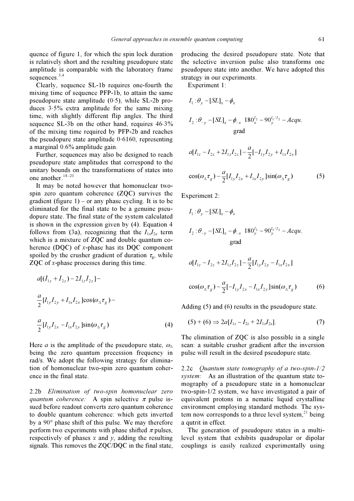quence of figure 1, for which the spin lock duration is relatively short and the resulting pseudopure state amplitude is comparable with the laboratory frame sequences.<sup>3,4</sup>

 Clearly, sequence SL-1b requires one-fourth the mixing time of sequence PFP-1b, to attain the same pseudopure state amplitude (0⋅5), while SL-2b produces 3⋅5% extra amplitude for the same mixing time, with slightly different flip angles. The third sequence SL-3b on the other hand, requires  $46.3\%$ of the mixing time required by PFP-2b and reaches the pseudopure state amplitude 0⋅6160, representing a marginal 0.6% amplitude gain.

 Further, sequences may also be designed to reach pseudopure state amplitudes that correspond to the unitary bounds on the transformations of states into one another. $18-20$ 

 It may be noted however that homonuclear twospin zero quantum coherence (ZQC) survives the gradient (figure  $1$ ) – or any phase cycling. It is to be eliminated for the final state to be a genuine pseudopure state. The final state of the system calculated is shown in the expression given by (4). Equation 4 follows from (3a), recognizing that the  $I_{1x}I_{2x}$  term which is a mixture of ZQC and double quantum coherence (DQC) of x-phase has its DQC component spoiled by the crusher gradient of duration  $\tau_{\rm g}$ , while ZQC of x-phase processes during this time. 1 2 12 [( ) 2 ] z z zz <sup>a</sup> I I II + − <sup>−</sup>

oiled by the crusher gradient of duration 
$$
\tau_g
$$
, while  
\nQC of x-phase processes during this time.  
\n
$$
a[(I_{1z} + I_{2z}) - 2I_{1z}I_{2z}] -
$$
\n
$$
\frac{a}{2}[I_{1y}I_{2y} + I_{1x}I_{2x}]cos(\omega_{\Delta}\tau_g) -
$$
\n
$$
\frac{a}{2}[I_{1y}I_{2x} - I_{1x}I_{2y}]sin(\omega_{\Delta}\tau_g)
$$
\n(4)

Here *a* is the amplitude of the pseudopure state,  $\omega_{\Delta}$ being the zero quantum precession frequency in rad/s. We adopt the following strategy for elimination of homonuclear two-spin zero quantum coherence in the final state.

2.2b Elimination of two-spin homonuclear zero quantum coherence: A spin selective  $\pi$  pulse issued before readout converts zero quantum coherence to double quantum coherence: which gets inverted by a 90° phase shift of this pulse. We may therefore perform two experiments with phase shifted  $\pi$  pulses, respectively of phases  $x$  and  $y$ , adding the resulting signals. This removes the ZQC/DQC in the final state, producing the desired pseudopure state. Note that the selective inversion pulse also transforms one pseudopure state into another. We have adopted this strategy in our experiments. selective inverse<br>
udopure state integy in our experiment 1:<br>  $I_1 : \theta_y - [SL]_x - \phi_x$ 

Experiment 1:

Experiment 1:  
\n
$$
I_1: \theta_y - [SL]_x - \phi_x
$$
  
\n $I_2: \theta_{-y} - [SL]_x - \phi_{-x} 180_x^{I_2} - 90_y^{I_1/I_2} - Acqu.$   
\ngrad  
\n
$$
d[I_{1x} - I_{2x} + 2I_1 J_{2x}] - \frac{a}{2} [-I_1 J_{2x} + I_2 J_{2x}]
$$

$$
a[I_{1z} - I_{2z} + 2I_{1z}I_{2z}] - \frac{a}{2}[-I_{1y}I_{2y} + I_{1x}I_{2x}]
$$
  

$$
\cos(\omega_{\Delta}\tau_g) - \frac{a}{2}[I_{1y}I_{2x} + I_{1x}I_{2y}]\sin(\omega_{\Delta}\tau_g)
$$
 (5)

 $cos(\omega_{\Delta} \tau_{g}) - \frac{a}{2} [I_{1y}]$ <br>periment 2:<br> $I_{1} : \theta_{y} - [SL]_{x} - \phi_{x}$ 

Experiment 2:

periment 2:  
\n
$$
I_1: \theta_y - [SL]_x - \phi_x
$$
  
\n $I_2: \theta_{-y} - [SL]_x - \phi_{-x} 180_y^{I_2} - 90_y^{I_1/I_2} - Acau$ .  
\ngrad  
\n $a[I_{1} - I_{2} + 2I_1J_{2} - \frac{a}{2}[I_1, I_{2} - I_1, I_{2} - \frac{1}{2}]$ 

$$
a[I_{1z} - I_{2z} + 2I_{1z}I_{2z}] - \frac{a}{2}[I_{1y}I_{2y} - I_{1x}I_{2x}]
$$
  

$$
\cos(\omega_{\Delta}\tau_g) - \frac{a}{2}[-I_{1y}I_{2x} - I_{1x}I_{2y}]\sin(\omega_{\Delta}\tau_g)
$$
 (6)

Adding (5) and (6) results in the pseudopure state.

$$
(5) + (6) \Rightarrow 2a[I_{1z} - I_{2z} + 2I_{1z}I_{2z}]. \tag{7}
$$

The elimination of ZQC is also possible in a single scan: a suitable crusher gradient after the inversion pulse will result in the desired pseudopure state.

2.2c Quantum state tomography of a two-spin-1/2 system: As an illustration of the quantum state tomography of a pseudopure state in a homonuclear two-spin-1/2 system, we have investigated a pair of equivalent protons in a nematic liquid crystalline environment employing standard methods. The system now corresponds to a three level system, $^{21}$  being a qutrit in effect.

 The generation of pseudopure states in a multilevel system that exhibits quadrupolar or dipolar couplings is easily realized experimentally using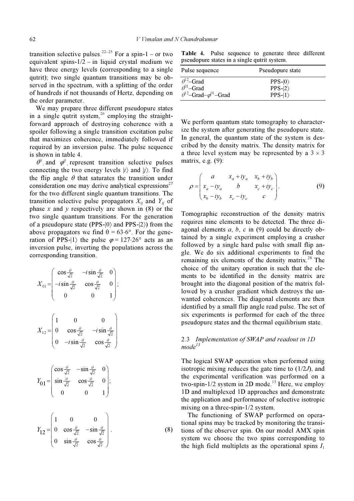transition selective pulses.<sup>22–25</sup> For a spin-1 – or two equivalent spins-1/2 – in liquid crystal medium we have three energy levels (corresponding to a single qutrit); two single quantum transitions may be observed in the spectrum, with a splitting of the order of hundreds if not thousands of Hertz, depending on the order parameter.

 We may prepare three different pseudopure states in a single qutrit system, $26$  employing the straightforward approach of destroying coherence with a spoiler following a single transition excitation pulse that maximizes coherence, immediately followed if required by an inversion pulse. The pulse sequence is shown in table 4.

 $\theta^j$  and  $\phi^j$  represent transition selective pulses connecting the two energy levels  $|i\rangle$  and  $|j\rangle$ . To find the flip angle  $\theta$  that saturates the transition under consideration one may derive analytical expressions<sup>27</sup> for the two different single quantum transitions. The transition selective pulse propagators  $X_{ij}$  and  $Y_{ij}$  of phase  $x$  and  $y$  respectively are shown in  $(8)$  or the two single quantum transitions. For the generation of a pseudopure state (PPS- $|0\rangle$  and PPS- $|2\rangle$ ) from the above propagators we find  $\theta = 63.6^{\circ}$ . For the generation of PPS- $|1\rangle$  the pulse  $\varphi = 127.26^{\circ}$  acts as an inversion pulse, inverting the populations across the corresponding transition.

$$
X_{01} = \begin{pmatrix} \cos\frac{\theta}{\sqrt{2}} & -i\sin\frac{\theta}{\sqrt{2}} & 0 \\ -i\sin\frac{\theta}{\sqrt{2}} & \cos\frac{\theta}{\sqrt{2}} & 0 \\ 0 & 0 & 1 \end{pmatrix};
$$
  
\n
$$
X_{12} = \begin{pmatrix} 1 & 0 & 0 \\ 0 & \cos\frac{\theta}{\sqrt{2}} & -i\sin\frac{\theta}{\sqrt{2}} \\ 0 & -i\sin\frac{\theta}{\sqrt{2}} & \cos\frac{\theta}{\sqrt{2}} \end{pmatrix}
$$
  
\n
$$
Y_{01} = \begin{pmatrix} \cos\frac{\theta}{\sqrt{2}} & -\sin\frac{\theta}{\sqrt{2}} & 0 \\ \sin\frac{\theta}{\sqrt{2}} & \cos\frac{\theta}{\sqrt{2}} & 0 \\ 0 & 0 & 1 \end{pmatrix};
$$
  
\n
$$
Y_{12} = \begin{pmatrix} 1 & 0 & 0 \\ 0 & \cos\frac{\theta}{\sqrt{2}} & -\sin\frac{\theta}{\sqrt{2}} \\ 0 & \sin\frac{\theta}{\sqrt{2}} & \cos\frac{\theta}{\sqrt{2}} \end{pmatrix}.
$$

Table 4. Pulse sequence to generate three different pseudopure states in a single qutrit system.

| Pulse sequence                                                                                      | Pseudopure state            |  |
|-----------------------------------------------------------------------------------------------------|-----------------------------|--|
| $\theta^2$ –Grad<br>$\theta^{01}$ -Grad<br>$\theta^{\text{l-2}}$ -Grad- $\varphi^{\text{01}}$ -Grad | $PPS-10$<br>$PPS- 2\rangle$ |  |
|                                                                                                     | $PPS-I1$                    |  |

We perform quantum state tomography to characterize the system after generating the pseudopure state. In general, the quantum state of the system is described by the density matrix. The density matrix for a three level system may be represented by a  $3 \times 3$ matrix, e.g. (9):

$$
\rho = \begin{pmatrix} a & x_a + iy_a & x_b + iy_b \\ x_a - iy_a & b & x_c + iy_c \\ x_b - iy_b & x_c - iy_c & c \end{pmatrix}.
$$
 (9)

Tomographic reconstruction of the density matrix requires nine elements to be detected. The three diagonal elements  $a, b, c$  in (9) could be directly obtained by a single experiment employing a crusher followed by a single hard pulse with small flip angle. We do six additional experiments to find the remaining six elements of the density matrix.<sup>28</sup> The choice of the unitary operation is such that the elements to be identified in the density matrix are brought into the diagonal position of the matrix followed by a crusher gradient which destroys the unwanted coherences. The diagonal elements are then identified by a small flip angle read pulse. The set of six experiments is performed for each of the three pseudopure states and the thermal equilibrium state.

# 2.3 Implementation of SWAP and readout in 1D  $mode^{15}$

The logical SWAP operation when performed using isotropic mixing reduces the gate time to  $(1/2J)$ , and the experimental verification was performed on a two-spin-1/2 system in 2D mode.<sup>13</sup> Here, we employ 1D and multiplexed 1D approaches and demonstrate the application and performance of selective isotropic mixing on a three-spin-1/2 system.

 The functioning of SWAP performed on operational spins may be tracked by monitoring the transitions of the observer spin. On our model AMX spin system we choose the two spins corresponding to the high field multiplets as the operational spins  $I_1$ 

(8)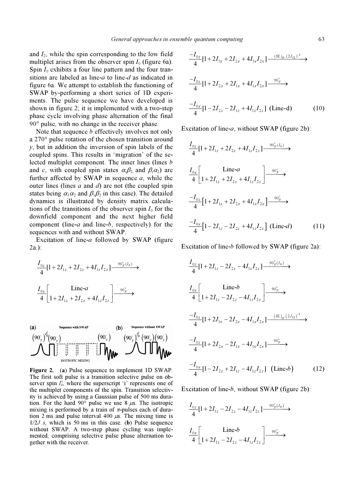and  $I_2$ , while the spin corresponding to the low field multiplet arises from the observer spin  $I_0$  (figure 6a). Spin  $I_0$  exhibits a four line pattern and the four transitions are labeled as line- $a$  to line- $d$  as indicated in figure 6a. We attempt to establish the functioning of SWAP by-performing a short series of 1D experiments. The pulse sequence we have developed is shown in figure 2; it is implemented with a two-step phase cycle involving phase alternation of the final 90° pulse, with no change in the receiver phase.

Note that sequence *b* effectively involves not only a 270° pulse rotation of the chosen transition around y, but in addition the inversion of spin labels of the coupled spins. This results in 'migration' of the selected multiplet component. The inner lines (lines b and c, with coupled spin states  $\alpha_1\beta_2$  and  $\beta_1\alpha_2$ ) are further affected by SWAP in sequence  $a$ , while the outer lines (lines  $a$  and  $d$ ) are not (the coupled spin states being  $\alpha_1 \alpha_2$  and  $\beta_1 \beta_2$  in this case). The detailed dynamics is illustrated by density matrix calculations of the transitions of the observer spin  $I_0$  for the downfield component and the next higher field component (line- $a$  and line- $b$ , respectively) for the sequences with and without SWAP.

 Excitation of line-a followed by SWAP (figure 2a.):

$$
\frac{I_{0z}}{4}[1+2I_{1z}+2I_{2z}+4I_{1z}I_{2z}] \longrightarrow
$$
\n
$$
\frac{I_{0x}}{4}\left[\begin{array}{cc} \text{Line--}a\\1+2I_{1z}+2I_{2z}+4I_{1z}I_{2z}\end{array}\right] \longrightarrow
$$
\n
$$
\longrightarrow
$$
\n
$$
\text{Sequence with SWAP} \qquad \text{(b)} \qquad \text{Sequence without}
$$



Figure 2. (a) Pulse sequence to implement 1D SWAP. The first soft pulse is a transition selective pulse on observer spin  $I_0^i$ , where the superscript 'i' represents one of the multiplet components of the spin. Transition selectivthe multiplet components of the spin. Transition selectivity is achieved by using a Gaussian pulse of 500 ms duration. For the hard 90 $^{\circ}$  pulse we use 8  $\mu$ s. The isotropic mixing is performed by a train of  $\pi$ -pulses each of duration 2 ms and pulse interval 400  $\mu$ s. The mixing time is  $1/2J$  s, which is 50 ms in this case. (b) Pulse sequence without SWAP. A two-step phase cycling was implemented, comprising selective pulse phase alternation together with the receiver.

$$
\frac{-I_{0z}}{4}[1+2I_{1x}+2I_{2x}+4I_{1x}I_{2x}] \xrightarrow{(SL)_x,(2J_{12})^{-1}} \rightarrow
$$
  

$$
\frac{-I_{0z}}{4}[1+2I_{2x}+2I_{1x}+4I_{1x}I_{2x}] \xrightarrow{90^{\circ}_{y}} \rightarrow
$$
  

$$
\frac{-I_{0x}}{4}[1-2I_{2z}-2I_{1z}+4I_{1z}I_{2z}] \text{ (Line-d)} \qquad (10)
$$

Excitation of line-a, without SWAP (figure 2b):

$$
\frac{I_{0z}}{4}[1+2I_{1z}+2I_{2z}+4I_{1z}I_{2z}] \xrightarrow{90^{\circ}_{y}(I_{0})}
$$
\n
$$
\frac{I_{0x}}{4}\left[\begin{array}{c} \text{Line}-a\\ 1+2I_{1z}+2I_{2z}+4I_{1z}I_{2z} \end{array}\right] \xrightarrow{90^{\circ}_{y}}
$$
\n
$$
\frac{-I_{0z}}{4}[1+2I_{1x}+2I_{2x}+4I_{1x}I_{2x}] \xrightarrow{90^{\circ}_{y}}
$$
\n
$$
\frac{-I_{0x}}{4}[1-2I_{1z}-2I_{2z}+4I_{1z}I_{2z}] \text{ (Line-}d) \qquad (11)
$$

Excitation of line-b followed by SWAP (figure 2a):

$$
\frac{I_{0z}}{4}[1+2I_{1z}-2I_{2z}-4I_{1z}I_{2z}] \xrightarrow{90^{\circ}_{y}(I_{0})}
$$
\n
$$
\frac{I_{0x}}{4}\left[\begin{matrix} \text{Line-}b\\ 1+2I_{1z}-2I_{2z}-4I_{1z}I_{2z} \end{matrix}\right] \xrightarrow{90^{\circ}_{y}}
$$
\n
$$
\frac{-I_{0z}}{4}[1+2I_{1x}-2I_{2x}-4I_{1x}I_{2x}] \xrightarrow{(SL)_{x}(2J_{12})^{-1}}
$$
\n
$$
\frac{-I_{0z}}{4}[1+2I_{2x}-2I_{1x}-4I_{1x}I_{2x}] \xrightarrow{90^{\circ}_{y}}
$$
\n
$$
\frac{-I_{0x}}{4}[1-2I_{2z}+2I_{1z}-4I_{1z}I_{2z}] \text{ (Line-}b) \qquad (12)
$$

Excitation of line- $b$ , without SWAP (figure 2b):

$$
\frac{I_{0z}}{4}[1+2I_{1z}-2I_{2z}-4I_{1z}I_{2z}] \xrightarrow{90^{\circ}_{y}(I_{0})}
$$
  

$$
\frac{I_{0x}}{4}\left[\text{Line-}b \qquad \qquad \text{Line-}2I_{1z}-2I_{2z}-4I_{1z}I_{2z}\right] \xrightarrow{90^{\circ}_{y}}
$$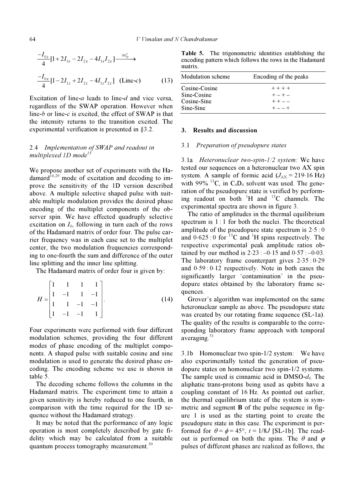$$
\frac{-I_{0z}}{4}[1+2I_{1x}-2I_{2x}-4I_{1x}I_{2x}] \xrightarrow{90^{\circ}_{y}}\n\frac{-I_{0x}}{4}[1-2I_{1z}+2I_{2z}-4I_{1z}I_{2z}] \text{ (Line-c)}
$$
\n(13)

Excitation of line-*a* leads to line-*d* and vice versa, regardless of the SWAP operation. However when line-b or line-c is excited, the effect of SWAP is that the intensity returns to the transition excited. The experimental verification is presented in §3.2.

# 2.4 Implementation of SWAP and readout in multiplexed 1D mode<sup>15</sup>

We propose another set of experiments with the Ha $d$ amard<sup>16,29</sup> mode of excitation and decoding to improve the sensitivity of the 1D version described above. A multiple selective shaped pulse with suitable multiple modulation provides the desired phase encoding of the multiplet components of the observer spin. We have effected quadruply selective excitation on  $I_0$ , following in turn each of the rows of the Hadamard matrix of order four. The pulse carrier frequency was in each case set to the multiplet center, the two modulation frequencies corresponding to one-fourth the sum and difference of the outer line splitting and the inner line splitting.

The Hadamard matrix of order four is given by:

$$
H = \begin{bmatrix} 1 & 1 & 1 & 1 \\ 1 & -1 & 1 & -1 \\ 1 & 1 & -1 & -1 \\ 1 & -1 & -1 & 1 \end{bmatrix} . \tag{14}
$$

Four experiments were performed with four different modulation schemes, providing the four different modes of phase encoding of the multiplet components. A shaped pulse with suitable cosine and sine modulation is used to generate the desired phase encoding. The encoding scheme we use is shown in table 5.

 The decoding scheme follows the columns in the Hadamard matrix. The experiment time to attain a given sensitivity is hereby reduced to one fourth, in comparison with the time required for the 1D sequence without the Hadamard strategy.

 It may be noted that the performance of any logic operation is most completely described by gate fidelity which may be calculated from a suitable quantum process tomography measurement.<sup>30</sup>

Table 5. The trigonometric identities establishing the encoding pattern which follows the rows in the Hadamard matrix.

| <b>Modulation scheme</b> | Encoding of the peaks |  |  |
|--------------------------|-----------------------|--|--|
| Cosine-Cosine            | $+ + + +$             |  |  |
| Sine-Cosine              | $+ - + -$             |  |  |
| Cosine-Sine              | $++--$                |  |  |
| Sine-Sine                | $+ - - +$             |  |  |

### 3. Results and discussion

#### 3.1 Preparation of pseudopure states

3.1a Heteronuclear two-spin-1/2 system: We have tested our sequences on a heteronuclear two AX spin system. A sample of formic acid  $(J_{AX} = 219.16 \text{ Hz})$ with 99% <sup>13</sup>C, in  $C_6D_6$  solvent was used. The generation of the pseudopure state is verified by performing readout on both  $H$  and  $^{13}C$  channels. The experimental spectra are shown in figure 3.

 The ratio of amplitudes in the thermal equilibrium spectrum is 1:1 for both the nuclei. The theoretical amplitude of the pseudopure state spectrum is  $2·5:0$ and  $0.625:0$  for <sup>13</sup>C and <sup>1</sup>H spins respectively. The respective experimental peak amplitude ratios obtained by our method is  $2.23:-0.15$  and  $0.57:-0.03$ . The laboratory frame counterpart gives  $2.35:0.29$ and 0⋅59 : 0⋅12 respectively. Note in both cases the significantly larger 'contamination' in the pseudopure states obtained by the laboratory frame sequences.

 Grover's algorithm was implemented on the same heteronuclear sample as above. The pseudopure state was created by our rotating frame sequence (SL-1a). The quality of the results is comparable to the corresponding laboratory frame approach with temporal averaging. $31$ 

3.1b Homonuclear two spin-1/2 system: We have also experimentally tested the generation of pseudopure states on homonuclear two spin-1/2 systems. The sample used is cinnamic acid in DMSO- $d_6$ . The aliphatic trans-protons being used as qubits have a coupling constant of 16 Hz. As pointed out earlier, the thermal equilibrium state of the system is symmetric and segment B of the pulse sequence in figure 1 is used as the starting point to create the pseudopure state in this case. The experiment is performed for  $\theta = \phi = 45^{\circ}$ ,  $t = 1/8J$  [SL-1b]. The readout is performed on both the spins. The  $\theta$  and  $\varphi$ pulses of different phases are realized as follows, the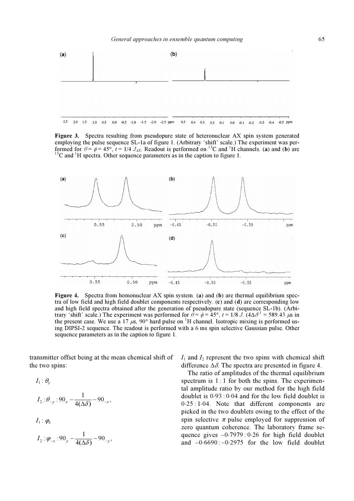

Figure 3. Spectra resulting from pseudopure state of heteronuclear AX spin system generated employing the pulse sequence SL-1a of figure 1. (Arbitrary 'shift' scale.) The experiment was performed for  $\theta = \phi = 45^\circ$ ,  $t = 1/4$   $J_{AX}$ . Readout is performed on <sup>13</sup>C and <sup>1</sup>H channels. (a) and (b) are <sup>13</sup>C and <sup>1</sup>H spectra. Other sequence parameters as in the caption to figure 1.



Figure 4. Spectra from homonuclear AX spin system. (a) and (b) are thermal equilibrium spectra of low field and high field doublet components respectively. (c) and (d) are corresponding low and high field spectra obtained after the generation of pseudopure state (sequence SL-1b). (Arbitrary 'shift' scale.) The experiment was performed for  $\hat{\theta} = \phi = 45^{\circ}$ ,  $t = 1/8$  J. ( $4\Delta\delta^{-1} = 589.43$  μs in the present case. We use a 17  $\mu$ s, 90° hard pulse on <sup>1</sup>H channel. Isotropic mixing is performed using DIPSI-2 sequence. The readout is performed with a 6 ms spin selective Gaussian pulse. Other sequence parameters as in the caption to figure 1.

transmitter offset being at the mean chemical shift of the two spins:

$$
I_1: \theta_{y}
$$
\n
$$
I_2: \theta_{-y}: 90_x - \frac{1}{4(\Delta\delta)} - 90_{-x},
$$
\n
$$
I_1: \varphi_x
$$
\n
$$
I_2: \varphi_{-x}: 90_y - \frac{1}{4(\Delta\delta)} - 90_{-y},
$$

 $I_1$  and  $I_2$  represent the two spins with chemical shift difference  $\Delta \delta$ . The spectra are presented in figure 4.

 The ratio of amplitudes of the thermal equilibrium spectrum is 1 : 1 for both the spins. The experimental amplitude ratio by our method for the high field doublet is 0⋅93 : 0⋅04 and for the low field doublet is 0⋅25 : 1⋅04. Note that different components are picked in the two doublets owing to the effect of the spin selective  $\pi$  pulse employed for suppression of zero quantum coherence. The laboratory frame sequence gives  $-0.7979$  : 0⋅26 for high field doublet and  $-0.6690$  :  $-0.2975$  for the low field doublet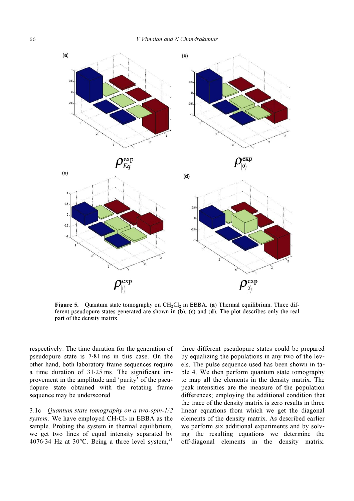

**Figure 5.** Quantum state tomography on  $CH_2Cl_2$  in EBBA. (a) Thermal equilibrium. Three different pseudopure states generated are shown in  $(b)$ ,  $(c)$  and  $(d)$ . The plot describes only the real part of the density matrix.

respectively. The time duration for the generation of pseudopure state is 7⋅81 ms in this case. On the other hand, both laboratory frame sequences require a time duration of 31⋅25 ms. The significant improvement in the amplitude and 'purity' of the pseudopure state obtained with the rotating frame sequence may be underscored.

3.1c Quantum state tomography on a two-spin-1/2 system: We have employed  $CH_2Cl_2$  in EBBA as the sample. Probing the system in thermal equilibrium, we get two lines of equal intensity separated by 4076⋅34 Hz at 30 $^{\circ}$ C. Being a three level system,<sup>21</sup>

three different pseudopure states could be prepared by equalizing the populations in any two of the levels. The pulse sequence used has been shown in table 4. We then perform quantum state tomography to map all the elements in the density matrix. The peak intensities are the measure of the population differences; employing the additional condition that the trace of the density matrix is zero results in three linear equations from which we get the diagonal elements of the density matrix. As described earlier we perform six additional experiments and by solving the resulting equations we determine the off-diagonal elements in the density matrix.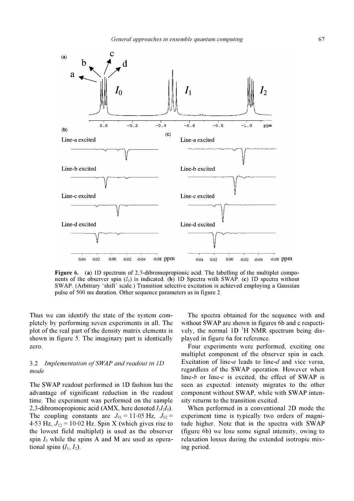

Figure 6. (a) 1D spectrum of 2.3-dibromopropionic acid. The labelling of the multiplet components of the observer spin  $(I_0)$  is indicated. (b) 1D Spectra with SWAP. (c) 1D spectra without SWAP. (Arbitrary 'shift' scale.) Transition selective excitation is achieved employing a Gaussian pulse of 500 ms duration. Other sequence parameters as in figure 2.

Thus we can identify the state of the system completely by performing seven experiments in all. The plot of the real part of the density matrix elements is shown in figure 5. The imaginary part is identically zero.

# 3.2 Implementation of SWAP and readout in 1D mode

The SWAP readout performed in 1D fashion has the advantage of significant reduction in the readout time. The experiment was performed on the sample 2,3-dibromopropionic acid (AMX, here denoted  $I_1I_2I_0$ ). The coupling constants are  $J_{01} = 11.05$  Hz,  $J_{02} =$ 4⋅53 Hz,  $J_{12}$  = 10⋅02 Hz. Spin X (which gives rise to the lowest field multiplet) is used as the observer spin  $I_0$  while the spins A and M are used as operational spins  $(I_1, I_2)$ .

 The spectra obtained for the sequence with and without SWAP are shown in figures 6b and c respectively, the normal  $1D<sup>-1</sup>H NMR$  spectrum being displayed in figure 6a for reference.

 Four experiments were performed, exciting one multiplet component of the observer spin in each. Excitation of line-a leads to line-d and vice versa, regardless of the SWAP operation. However when line-b or line-c is excited, the effect of SWAP is seen as expected: intensity migrates to the other component without SWAP, while with SWAP intensity returns to the transition excited.

 When performed in a conventional 2D mode the experiment time is typically two orders of magnitude higher. Note that in the spectra with SWAP (figure 6b) we lose some signal intensity, owing to relaxation losses during the extended isotropic mixing period.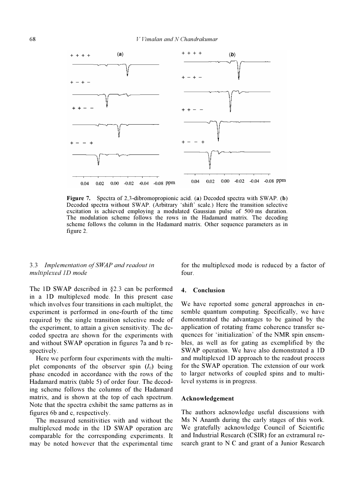

Figure 7. Spectra of 2,3-dibromopropionic acid. (a) Decoded spectra with SWAP. (b) Decoded spectra without SWAP. (Arbitrary 'shift' scale.) Here the transition selective excitation is achieved employing a modulated Gaussian pulse of 500 ms duration. The modulation scheme follows the rows in the Hadamard matrix. The decoding scheme follows the column in the Hadamard matrix. Other sequence parameters as in figure 2.

# 3.3 Implementation of SWAP and readout in multiplexed 1D mode

The 1D SWAP described in §2.3 can be performed in a 1D multiplexed mode. In this present case which involves four transitions in each multiplet, the experiment is performed in one-fourth of the time required by the single transition selective mode of the experiment, to attain a given sensitivity. The decoded spectra are shown for the experiments with and without SWAP operation in figures 7a and b respectively.

 Here we perform four experiments with the multiplet components of the observer spin  $(I_0)$  being phase encoded in accordance with the rows of the Hadamard matrix (table 5) of order four. The decoding scheme follows the columns of the Hadamard matrix, and is shown at the top of each spectrum. Note that the spectra exhibit the same patterns as in figures 6b and c, respectively.

 The measured sensitivities with and without the multiplexed mode in the 1D SWAP operation are comparable for the corresponding experiments. It may be noted however that the experimental time

for the multiplexed mode is reduced by a factor of four.

#### 4. Conclusion

We have reported some general approaches in ensemble quantum computing. Specifically, we have demonstrated the advantages to be gained by the application of rotating frame coherence transfer sequences for 'initialization' of the NMR spin ensembles, as well as for gating as exemplified by the SWAP operation. We have also demonstrated a 1D and multiplexed 1D approach to the readout process for the SWAP operation. The extension of our work to larger networks of coupled spins and to multilevel systems is in progress.

#### Acknowledgement

The authors acknowledge useful discussions with Ms N Ananth during the early stages of this work. We gratefully acknowledge Council of Scientific and Industrial Research (CSIR) for an extramural research grant to N C and grant of a Junior Research